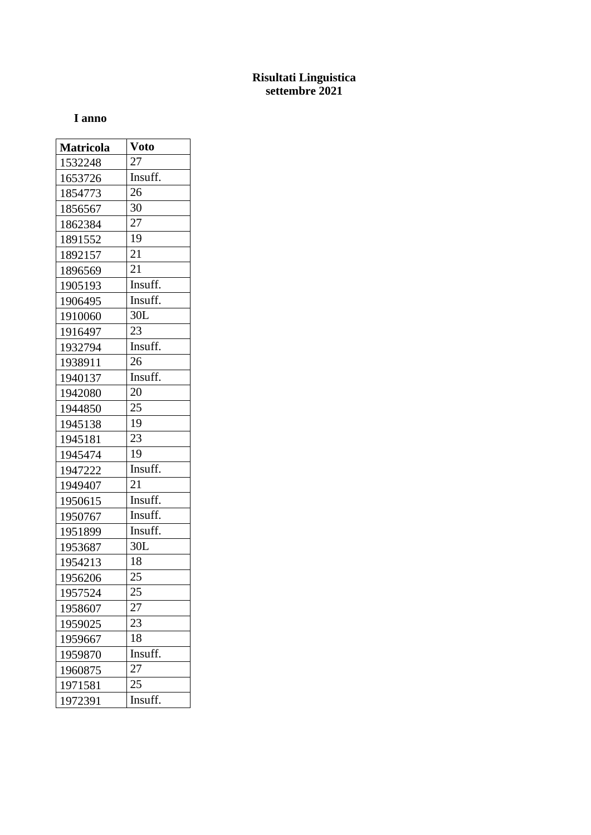## **Risultati Linguistica settembre 2021**

## **I anno**

| <b>Matricola</b> | <b>Voto</b> |
|------------------|-------------|
| 1532248          | 27          |
| 1653726          | Insuff.     |
| 1854773          | 26          |
| 1856567          | 30          |
| 1862384          | 27          |
| 1891552          | 19          |
| 1892157          | 21          |
| 1896569          | 21          |
| 1905193          | Insuff.     |
| 1906495          | Insuff.     |
| 1910060          | 30L         |
| 1916497          | 23          |
| 1932794          | Insuff.     |
| 1938911          | 26          |
| 1940137          | Insuff.     |
| 1942080          | 20          |
| 1944850          | 25          |
| 1945138          | 19          |
| 1945181          | 23          |
| 1945474          | 19          |
| 1947222          | Insuff.     |
| 1949407          | 21          |
| 1950615          | Insuff.     |
| 1950767          | Insuff.     |
| 1951899          | Insuff.     |
| 1953687          | 30L         |
| 1954213          | 18          |
| 1956206          | 25          |
| 1957524          | 25          |
| 1958607          | 27          |
| 1959025          | 23          |
| 1959667          | 18          |
| 1959870          | Insuff.     |
| 1960875          | 27          |
| 1971581          | 25          |
| 1972391          | Insuff.     |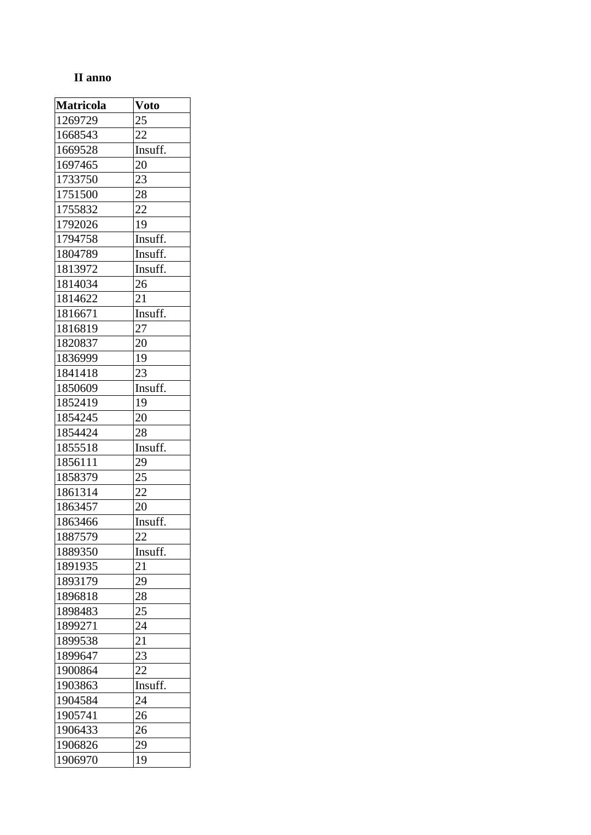## **II anno**

| <b>Matricola</b> | <b>Voto</b> |
|------------------|-------------|
| 1269729          | 25          |
| 1668543          | 22          |
| 1669528          | Insuff.     |
| 1697465          | 20          |
| 1733750          | 23          |
| 1751500          | 28          |
| 1755832          | 22          |
| 1792026          | 19          |
| 1794758          | Insuff.     |
| 1804789          | Insuff.     |
| 1813972          | Insuff.     |
| 1814034          | 26          |
| 1814622          | 21          |
| 1816671          | Insuff.     |
| 1816819          | 27          |
| 1820837          | 20          |
| 1836999          | 19          |
| 1841418          | 23          |
| 1850609          | Insuff.     |
| 1852419          | 19          |
| 1854245          | 20          |
| 1854424          | 28          |
| 1855518          | Insuff.     |
| 1856111          | 29          |
| 1858379          | 25          |
| 1861314          | 22          |
| 1863457          | 20          |
| 1863466          | Insuff.     |
| 1887579          | 22          |
| 1889350          | Insuff.     |
| 1891935          | 21          |
| 1893179          | 29          |
| 1896818          | 28          |
| 1898483          | 25          |
| 1899271          | 24          |
| 1899538          | 21          |
| 1899647          | 23          |
| 1900864          | 22          |
| 1903863          | Insuff.     |
| 1904584          | 24          |
| 1905741          | 26          |
| 1906433          | 26          |
| 1906826          | 29          |
| 1906970          | 19          |